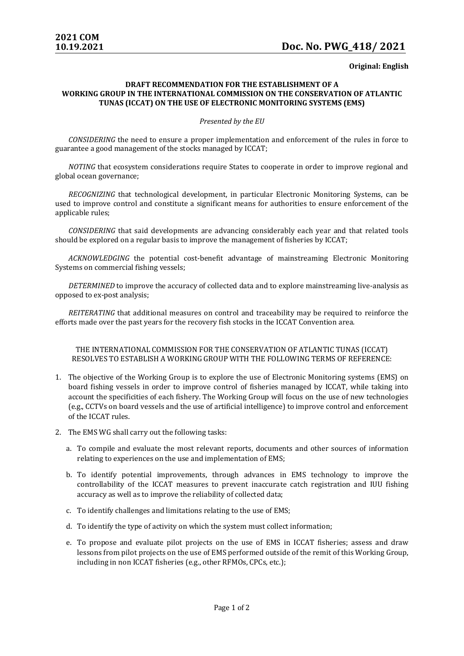## **Original: English**

## **DRAFT RECOMMENDATION FOR THE ESTABLISHMENT OF A WORKING GROUP IN THE INTERNATIONAL COMMISSION ON THE CONSERVATION OF ATLANTIC TUNAS (ICCAT) ON THE USE OF ELECTRONIC MONITORING SYSTEMS (EMS)**

## *Presented by the EU*

*CONSIDERING* the need to ensure a proper implementation and enforcement of the rules in force to guarantee a good management of the stocks managed by ICCAT;

*NOTING* that ecosystem considerations require States to cooperate in order to improve regional and global ocean governance;

*RECOGNIZING* that technological development, in particular Electronic Monitoring Systems, can be used to improve control and constitute a significant means for authorities to ensure enforcement of the applicable rules;

*CONSIDERING* that said developments are advancing considerably each year and that related tools should be explored on a regular basis to improve the management of fisheries by ICCAT;

*ACKNOWLEDGING* the potential cost-benefit advantage of mainstreaming Electronic Monitoring Systems on commercial fishing vessels;

*DETERMINED* to improve the accuracy of collected data and to explore mainstreaming live-analysis as opposed to ex-post analysis;

*REITERATING* that additional measures on control and traceability may be required to reinforce the efforts made over the past years for the recovery fish stocks in the ICCAT Convention area.

THE INTERNATIONAL COMMISSION FOR THE CONSERVATION OF ATLANTIC TUNAS (ICCAT) RESOLVES TO ESTABLISH A WORKING GROUP WITH THE FOLLOWING TERMS OF REFERENCE:

- 1. The objective of the Working Group is to explore the use of Electronic Monitoring systems (EMS) on board fishing vessels in order to improve control of fisheries managed by ICCAT, while taking into account the specificities of each fishery. The Working Group will focus on the use of new technologies (e.g., CCTVs on board vessels and the use of artificial intelligence) to improve control and enforcement of the ICCAT rules.
- 2. The EMS WG shall carry out the following tasks:
	- a. To compile and evaluate the most relevant reports, documents and other sources of information relating to experiences on the use and implementation of EMS;
	- b. To identify potential improvements, through advances in EMS technology to improve the controllability of the ICCAT measures to prevent inaccurate catch registration and IUU fishing accuracy as well as to improve the reliability of collected data;
	- c. To identify challenges and limitations relating to the use of EMS;
	- d. To identify the type of activity on which the system must collect information;
	- e. To propose and evaluate pilot projects on the use of EMS in ICCAT fisheries; assess and draw lessons from pilot projects on the use of EMS performed outside of the remit of this Working Group, including in non ICCAT fisheries (e.g., other RFMOs, CPCs, etc.);